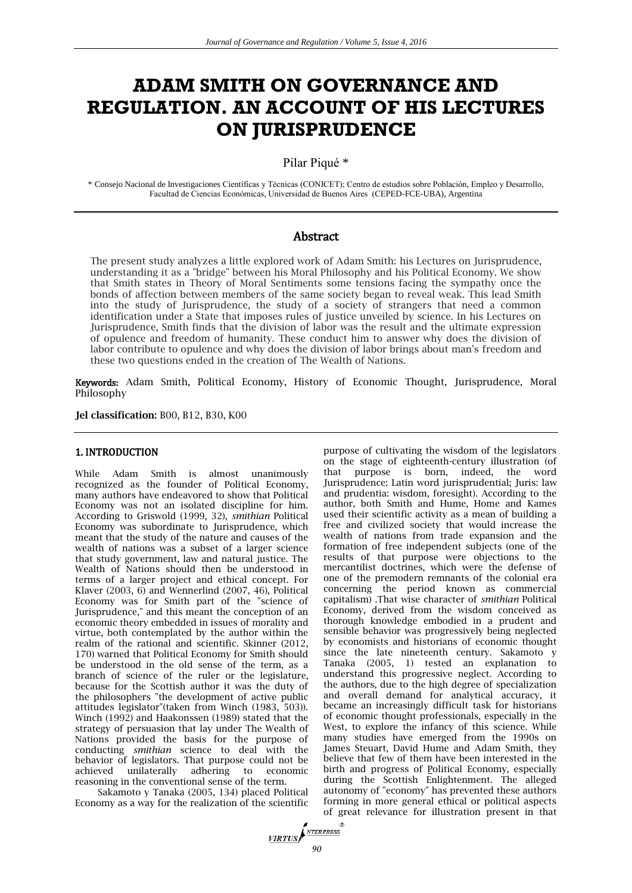# **ADAM SMITH ON GOVERNANCE AND REGULATION. AN ACCOUNT OF HIS LECTURES ON JURISPRUDENCE**

Pilar Piqué \*

\* Consejo Nacional de Investigaciones Científicas y Técnicas (CONICET); Centro de estudios sobre Población, Empleo y Desarrollo, Facultad de Ciencias Económicas, Universidad de Buenos Aires (CEPED-FCE-UBA), Argentina

# Abstract

The present study analyzes a little explored work of Adam Smith: his Lectures on Jurisprudence, understanding it as a "bridge" between his Moral Philosophy and his Political Economy. We show that Smith states in Theory of Moral Sentiments some tensions facing the sympathy once the bonds of affection between members of the same society began to reveal weak. This lead Smith into the study of Jurisprudence, the study of a society of strangers that need a common identification under a State that imposes rules of justice unveiled by science. In his Lectures on Jurisprudence, Smith finds that the division of labor was the result and the ultimate expression of opulence and freedom of humanity. These conduct him to answer why does the division of labor contribute to opulence and why does the division of labor brings about man's freedom and these two questions ended in the creation of The Wealth of Nations.

Keywords: Adam Smith, Political Economy, History of Economic Thought, Jurisprudence, Moral Philosophy

**Jel classification:** B00, B12, B30, K00

# 1. INTRODUCTION

While Adam Smith is almost unanimously recognized as the founder of Political Economy, many authors have endeavored to show that Political Economy was not an isolated discipline for him. According to Griswold (1999, 32), *smithian* Political Economy was subordinate to Jurisprudence, which meant that the study of the nature and causes of the wealth of nations was a subset of a larger science that study government, law and natural justice. The Wealth of Nations should then be understood in terms of a larger project and ethical concept. For Klaver (2003, 6) and Wennerlind (2007, 46), Political Economy was for Smith part of the "science of Jurisprudence," and this meant the conception of an economic theory embedded in issues of morality and virtue, both contemplated by the author within the realm of the rational and scientific. Skinner (2012, 170) warned that Political Economy for Smith should be understood in the old sense of the term, as a branch of science of the ruler or the legislature, because for the Scottish author it was the duty of the philosophers "the development of active public attitudes legislator"(taken from Winch (1983, 503)). Winch (1992) and Haakonssen (1989) stated that the strategy of persuasion that lay under The Wealth of Nations provided the basis for the purpose of conducting *smithian* science to deal with the behavior of legislators. That purpose could not be achieved unilaterally adhering to economic reasoning in the conventional sense of the term.

Sakamoto y Tanaka (2005, 134) placed Political Economy as a way for the realization of the scientific

purpose of cultivating the wisdom of the legislators on the stage of eighteenth-century illustration (of that purpose is born, indeed, the word Jurisprudence: Latin word jurisprudential; Juris: law and prudentia: wisdom, foresight). According to the author, both Smith and Hume, Home and Kames used their scientific activity as a mean of building a free and civilized society that would increase the wealth of nations from trade expansion and the formation of free independent subjects (one of the results of that purpose were objections to the mercantilist doctrines, which were the defense of one of the premodern remnants of the colonial era concerning the period known as commercial capitalism) .That wise character of *smithian* Political Economy, derived from the wisdom conceived as thorough knowledge embodied in a prudent and sensible behavior was progressively being neglected by economists and historians of economic thought since the late nineteenth century. Sakamoto y Tanaka (2005, 1) tested an explanation to understand this progressive neglect. According to the authors, due to the high degree of specialization and overall demand for analytical accuracy, it became an increasingly difficult task for historians of economic thought professionals, especially in the West, to explore the infancy of this science. While many studies have emerged from the 1990s on James Steuart, David Hume and Adam Smith, they believe that few of them have been interested in the birth and progress of Political Economy, especially during the Scottish Enlightenment. The alleged autonomy of "economy" has prevented these authors forming in more general ethical or political aspects of great relevance for illustration present in that

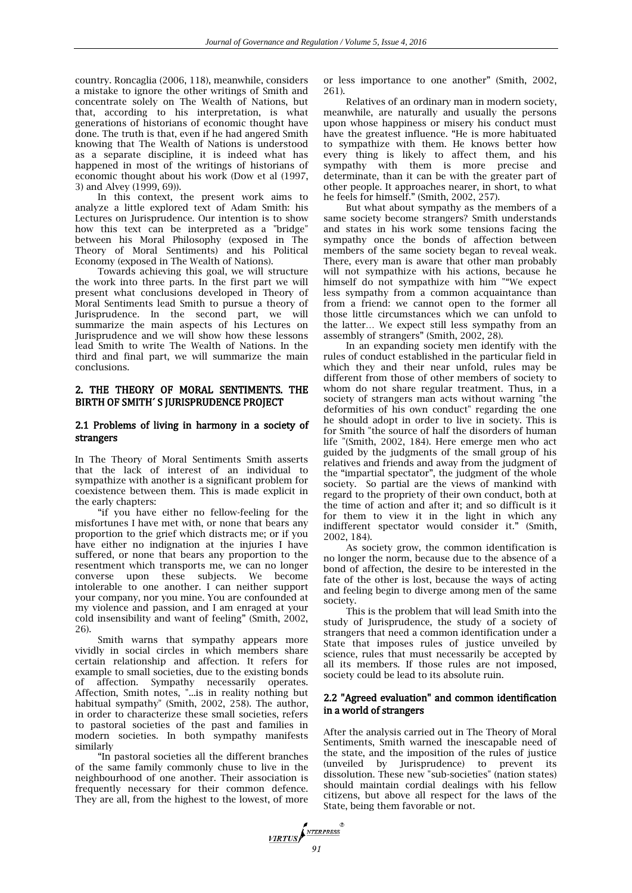country. Roncaglia (2006, 118), meanwhile, considers a mistake to ignore the other writings of Smith and concentrate solely on The Wealth of Nations, but that, according to his interpretation, is what generations of historians of economic thought have done. The truth is that, even if he had angered Smith knowing that The Wealth of Nations is understood as a separate discipline, it is indeed what has happened in most of the writings of historians of economic thought about his work (Dow et al (1997, 3) and Alvey (1999, 69)).

In this context, the present work aims to analyze a little explored text of Adam Smith: his Lectures on Jurisprudence. Our intention is to show how this text can be interpreted as a "bridge" between his Moral Philosophy (exposed in The Theory of Moral Sentiments) and his Political Economy (exposed in The Wealth of Nations).

Towards achieving this goal, we will structure the work into three parts. In the first part we will present what conclusions developed in Theory of Moral Sentiments lead Smith to pursue a theory of Jurisprudence. In the second part, we will summarize the main aspects of his Lectures on Jurisprudence and we will show how these lessons lead Smith to write The Wealth of Nations. In the third and final part, we will summarize the main conclusions.

## 2. THE THEORY OF MORAL SENTIMENTS. THE BIRTH OF SMITH´ S JURISPRUDENCE PROJECT

#### 2.1 Problems of living in harmony in a society of strangers

In The Theory of Moral Sentiments Smith asserts that the lack of interest of an individual to sympathize with another is a significant problem for coexistence between them. This is made explicit in the early chapters:

"if you have either no fellow-feeling for the misfortunes I have met with, or none that bears any proportion to the grief which distracts me; or if you have either no indignation at the injuries I have suffered, or none that bears any proportion to the resentment which transports me, we can no longer converse upon these subjects. We become intolerable to one another. I can neither support your company, nor you mine. You are confounded at my violence and passion, and I am enraged at your cold insensibility and want of feeling" (Smith, 2002, 26).

Smith warns that sympathy appears more vividly in social circles in which members share certain relationship and affection. It refers for example to small societies, due to the existing bonds of affection. Sympathy necessarily operates. Affection, Smith notes, "...is in reality nothing but habitual sympathy" (Smith, 2002, 258). The author, in order to characterize these small societies, refers to pastoral societies of the past and families in modern societies. In both sympathy manifests similarly

"In pastoral societies all the different branches of the same family commonly chuse to live in the neighbourhood of one another. Their association is frequently necessary for their common defence. They are all, from the highest to the lowest, of more

or less importance to one another" (Smith, 2002, 261).

Relatives of an ordinary man in modern society, meanwhile, are naturally and usually the persons upon whose happiness or misery his conduct must have the greatest influence. "He is more habituated to sympathize with them. He knows better how every thing is likely to affect them, and his sympathy with them is more precise and determinate, than it can be with the greater part of other people. It approaches nearer, in short, to what he feels for himself." (Smith, 2002, 257).

But what about sympathy as the members of a same society become strangers? Smith understands and states in his work some tensions facing the sympathy once the bonds of affection between members of the same society began to reveal weak. There, every man is aware that other man probably will not sympathize with his actions, because he himself do not sympathize with him ""We expect less sympathy from a common acquaintance than from a friend: we cannot open to the former all those little circumstances which we can unfold to the latter… We expect still less sympathy from an assembly of strangers" (Smith, 2002, 28).

In an expanding society men identify with the rules of conduct established in the particular field in which they and their near unfold, rules may be different from those of other members of society to whom do not share regular treatment. Thus, in a society of strangers man acts without warning "the deformities of his own conduct" regarding the one he should adopt in order to live in society. This is for Smith "the source of half the disorders of human life "(Smith, 2002, 184). Here emerge men who act guided by the judgments of the small group of his relatives and friends and away from the judgment of the "impartial spectator", the judgment of the whole society. So partial are the views of mankind with regard to the propriety of their own conduct, both at the time of action and after it; and so difficult is it for them to view it in the light in which any indifferent spectator would consider it." (Smith, 2002, 184).

As society grow, the common identification is no longer the norm, because due to the absence of a bond of affection, the desire to be interested in the fate of the other is lost, because the ways of acting and feeling begin to diverge among men of the same society.

This is the problem that will lead Smith into the study of Jurisprudence, the study of a society of strangers that need a common identification under a State that imposes rules of justice unveiled by science, rules that must necessarily be accepted by all its members. If those rules are not imposed, society could be lead to its absolute ruin.

# 2.2 "Agreed evaluation" and common identification in a world of strangers

After the analysis carried out in The Theory of Moral Sentiments, Smith warned the inescapable need of the state, and the imposition of the rules of justice (unveiled by Jurisprudence) to prevent its dissolution. These new "sub-societies" (nation states) should maintain cordial dealings with his fellow citizens, but above all respect for the laws of the State, being them favorable or not.

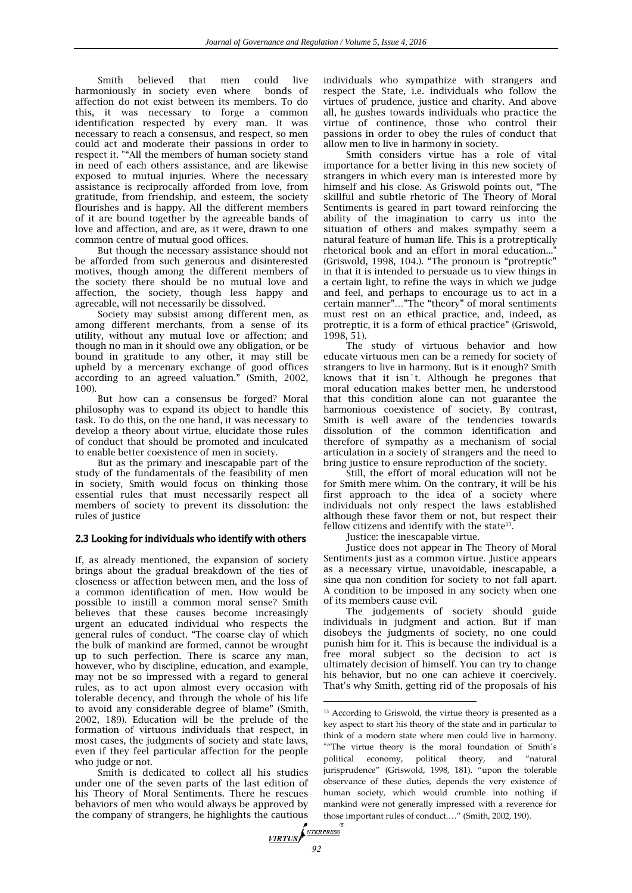Smith believed that men could live harmoniously in society even where bonds of affection do not exist between its members. To do this, it was necessary to forge a common identification respected by every man. It was necessary to reach a consensus, and respect, so men could act and moderate their passions in order to respect it. ""All the members of human society stand in need of each others assistance, and are likewise exposed to mutual injuries. Where the necessary assistance is reciprocally afforded from love, from gratitude, from friendship, and esteem, the society flourishes and is happy. All the different members of it are bound together by the agreeable bands of love and affection, and are, as it were, drawn to one common centre of mutual good offices.

But though the necessary assistance should not be afforded from such generous and disinterested motives, though among the different members of the society there should be no mutual love and affection, the society, though less happy and agreeable, will not necessarily be dissolved.

Society may subsist among different men, as among different merchants, from a sense of its utility, without any mutual love or affection; and though no man in it should owe any obligation, or be bound in gratitude to any other, it may still be upheld by a mercenary exchange of good offices according to an agreed valuation." (Smith, 2002, 100).

But how can a consensus be forged? Moral philosophy was to expand its object to handle this task. To do this, on the one hand, it was necessary to develop a theory about virtue, elucidate those rules of conduct that should be promoted and inculcated to enable better coexistence of men in society.

But as the primary and inescapable part of the study of the fundamentals of the feasibility of men in society, Smith would focus on thinking those essential rules that must necessarily respect all members of society to prevent its dissolution: the rules of justice

#### 2.3 Looking for individuals who identify with others

If, as already mentioned, the expansion of society brings about the gradual breakdown of the ties of closeness or affection between men, and the loss of a common identification of men. How would be possible to instill a common moral sense? Smith believes that these causes become increasingly urgent an educated individual who respects the general rules of conduct. "The coarse clay of which the bulk of mankind are formed, cannot be wrought up to such perfection. There is scarce any man, however, who by discipline, education, and example, may not be so impressed with a regard to general rules, as to act upon almost every occasion with tolerable decency, and through the whole of his life to avoid any considerable degree of blame" (Smith, 2002, 189). Education will be the prelude of the formation of virtuous individuals that respect, in most cases, the judgments of society and state laws, even if they feel particular affection for the people who judge or not.

Smith is dedicated to collect all his studies under one of the seven parts of the last edition of his Theory of Moral Sentiments. There he rescues behaviors of men who would always be approved by the company of strangers, he highlights the cautious

individuals who sympathize with strangers and respect the State, i.e. individuals who follow the virtues of prudence, justice and charity. And above all, he gushes towards individuals who practice the virtue of continence, those who control their passions in order to obey the rules of conduct that allow men to live in harmony in society.

Smith considers virtue has a role of vital importance for a better living in this new society of strangers in which every man is interested more by himself and his close. As Griswold points out, "The skillful and subtle rhetoric of The Theory of Moral Sentiments is geared in part toward reinforcing the ability of the imagination to carry us into the situation of others and makes sympathy seem a natural feature of human life. This is a protreptically rhetorical book and an effort in moral education... (Griswold, 1998, 104.). "The pronoun is "protreptic" in that it is intended to persuade us to view things in a certain light, to refine the ways in which we judge and feel, and perhaps to encourage us to act in a certain manner"…"The "theory" of moral sentiments must rest on an ethical practice, and, indeed, as protreptic, it is a form of ethical practice" (Griswold, 1998, 51).

The study of virtuous behavior and how educate virtuous men can be a remedy for society of strangers to live in harmony. But is it enough? Smith knows that it isn´t. Although he pregones that moral education makes better men, he understood that this condition alone can not guarantee the harmonious coexistence of society. By contrast, Smith is well aware of the tendencies towards dissolution of the common identification and therefore of sympathy as a mechanism of social articulation in a society of strangers and the need to bring justice to ensure reproduction of the society.

Still, the effort of moral education will not be for Smith mere whim. On the contrary, it will be his first approach to the idea of a society where individuals not only respect the laws established although these favor them or not, but respect their fellow citizens and identify with the state $^{13}$ .

Justice: the inescapable virtue.

Justice does not appear in The Theory of Moral Sentiments just as a common virtue. Justice appears as a necessary virtue, unavoidable, inescapable, a sine qua non condition for society to not fall apart. A condition to be imposed in any society when one of its members cause evil.

The judgements of society should guide individuals in judgment and action. But if man disobeys the judgments of society, no one could punish him for it. This is because the individual is a free moral subject so the decision to act is ultimately decision of himself. You can try to change his behavior, but no one can achieve it coercively. That's why Smith, getting rid of the proposals of his

1

<sup>&</sup>lt;sup>13</sup> According to Griswold, the virtue theory is presented as a key aspect to start his theory of the state and in particular to think of a modern state where men could live in harmony. ""The virtue theory is the moral foundation of Smith´s political economy, political theory, and "natural jurisprudence" (Griswold, 1998, 181). "upon the tolerable observance of these duties, depends the very existence of human society, which would crumble into nothing if mankind were not generally impressed with a reverence for those important rules of conduct.…" (Smith, 2002, 190).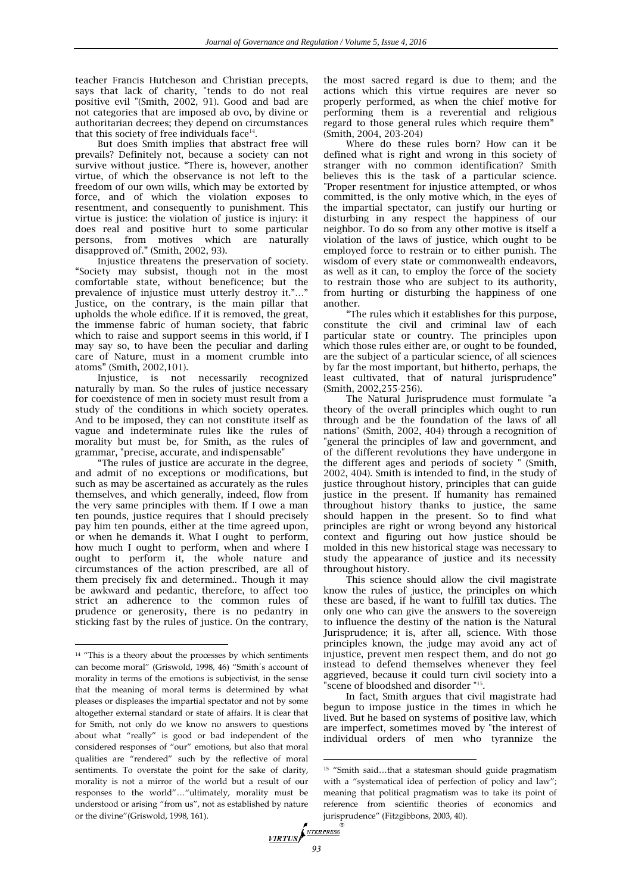teacher Francis Hutcheson and Christian precepts, says that lack of charity, "tends to do not real positive evil "(Smith, 2002, 91). Good and bad are not categories that are imposed ab ovo, by divine or authoritarian decrees; they depend on circumstances that this society of free individuals face $14$ .

But does Smith implies that abstract free will prevails? Definitely not, because a society can not survive without justice. "There is, however, another virtue, of which the observance is not left to the freedom of our own wills, which may be extorted by force, and of which the violation exposes to resentment, and consequently to punishment. This virtue is justice: the violation of justice is injury: it does real and positive hurt to some particular persons, from motives which are naturally disapproved of." (Smith, 2002, 93).

Injustice threatens the preservation of society. "Society may subsist, though not in the most comfortable state, without beneficence; but the prevalence of injustice must utterly destroy it."…" Justice, on the contrary, is the main pillar that upholds the whole edifice. If it is removed, the great, the immense fabric of human society, that fabric which to raise and support seems in this world, if I may say so, to have been the peculiar and darling care of Nature, must in a moment crumble into atoms" (Smith, 2002,101).

Injustice, is not necessarily recognized naturally by man. So the rules of justice necessary for coexistence of men in society must result from a study of the conditions in which society operates. And to be imposed, they can not constitute itself as vague and indeterminate rules like the rules of morality but must be, for Smith, as the rules of grammar, "precise, accurate, and indispensable"

"The rules of justice are accurate in the degree, and admit of no exceptions or modifications, but such as may be ascertained as accurately as the rules themselves, and which generally, indeed, flow from the very same principles with them. If I owe a man ten pounds, justice requires that I should precisely pay him ten pounds, either at the time agreed upon, or when he demands it. What I ought to perform, how much I ought to perform, when and where I ought to perform it, the whole nature and circumstances of the action prescribed, are all of them precisely fix and determined.. Though it may be awkward and pedantic, therefore, to affect too strict an adherence to the common rules of prudence or generosity, there is no pedantry in sticking fast by the rules of justice. On the contrary,

-

the most sacred regard is due to them; and the actions which this virtue requires are never so properly performed, as when the chief motive for performing them is a reverential and religious regard to those general rules which require them" (Smith, 2004, 203-204)

Where do these rules born? How can it be defined what is right and wrong in this society of stranger with no common identification? Smith believes this is the task of a particular science. "Proper resentment for injustice attempted, or whos committed, is the only motive which, in the eyes of the impartial spectator, can justify our hurting or disturbing in any respect the happiness of our neighbor. To do so from any other motive is itself a violation of the laws of justice, which ought to be employed force to restrain or to either punish. The wisdom of every state or commonwealth endeavors, as well as it can, to employ the force of the society to restrain those who are subject to its authority, from hurting or disturbing the happiness of one another.

"The rules which it establishes for this purpose, constitute the civil and criminal law of each particular state or country. The principles upon which those rules either are, or ought to be founded, are the subject of a particular science, of all sciences by far the most important, but hitherto, perhaps, the least cultivated, that of natural jurisprudence" (Smith, 2002,255-256).

The Natural Jurisprudence must formulate "a theory of the overall principles which ought to run through and be the foundation of the laws of all nations" (Smith, 2002, 404) through a recognition of "general the principles of law and government, and of the different revolutions they have undergone in the different ages and periods of society " (Smith, 2002, 404). Smith is intended to find, in the study of justice throughout history, principles that can guide justice in the present. If humanity has remained throughout history thanks to justice, the same should happen in the present. So to find what principles are right or wrong beyond any historical context and figuring out how justice should be molded in this new historical stage was necessary to study the appearance of justice and its necessity throughout history.

This science should allow the civil magistrate know the rules of justice, the principles on which these are based, if he want to fulfill tax duties. The only one who can give the answers to the sovereign to influence the destiny of the nation is the Natural Jurisprudence; it is, after all, science. With those principles known, the judge may avoid any act of injustice, prevent men respect them, and do not go instead to defend themselves whenever they feel aggrieved, because it could turn civil society into a "scene of bloodshed and disorder "<sup>15</sup> .

In fact, Smith argues that civil magistrate had begun to impose justice in the times in which he lived. But he based on systems of positive law, which are imperfect, sometimes moved by "the interest of individual orders of men who tyrannize the

1

<sup>&</sup>lt;sup>14</sup> "This is a theory about the processes by which sentiments can become moral" (Griswold, 1998, 46) "Smith´s account of morality in terms of the emotions is subjectivist, in the sense that the meaning of moral terms is determined by what pleases or displeases the impartial spectator and not by some altogether external standard or state of affairs. It is clear that for Smith, not only do we know no answers to questions about what "really" is good or bad independent of the considered responses of "our" emotions, but also that moral qualities are "rendered" such by the reflective of moral sentiments. To overstate the point for the sake of clarity, morality is not a mirror of the world but a result of our responses to the world"…"ultimately, morality must be understood or arising "from us", not as established by nature or the divine"(Griswold, 1998, 161).

<sup>15</sup> "Smith said…that a statesman should guide pragmatism with a "systematical idea of perfection of policy and law"; meaning that political pragmatism was to take its point of reference from scientific theories of economics and jurisprudence" (Fitzgibbons, 2003, 40).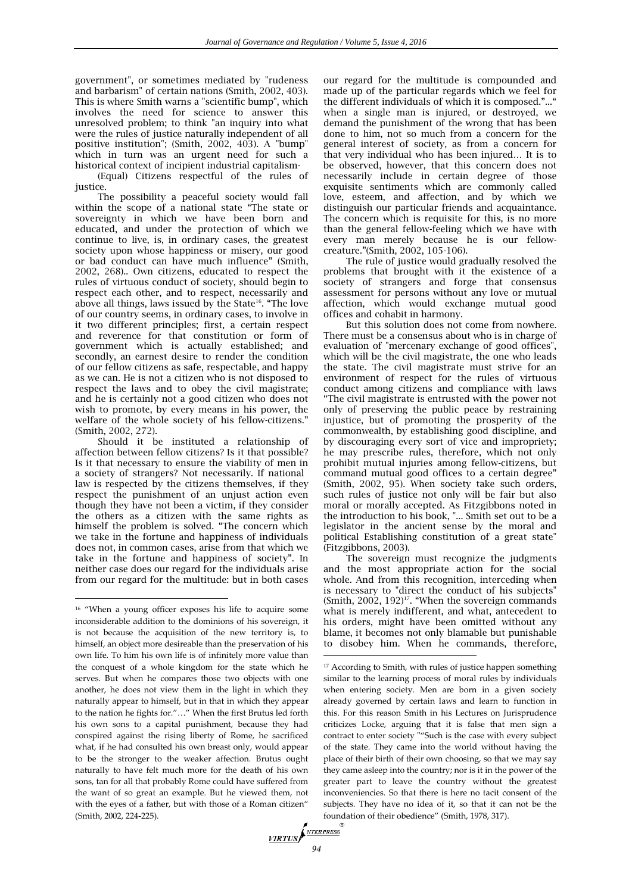government", or sometimes mediated by "rudeness and barbarism" of certain nations (Smith, 2002, 403). This is where Smith warns a "scientific bump", which involves the need for science to answer this unresolved problem; to think "an inquiry into what were the rules of justice naturally independent of all positive institution"; (Smith, 2002, 403). A "bump" which in turn was an urgent need for such a historical context of incipient industrial capitalism-

(Equal) Citizens respectful of the rules of justice.

The possibility a peaceful society would fall within the scope of a national state "The state or sovereignty in which we have been born and educated, and under the protection of which we continue to live, is, in ordinary cases, the greatest society upon whose happiness or misery, our good or bad conduct can have much influence" (Smith, 2002, 268).. Own citizens, educated to respect the rules of virtuous conduct of society, should begin to respect each other, and to respect, necessarily and above all things, laws issued by the State<sup>16</sup>. "The love of our country seems, in ordinary cases, to involve in it two different principles; first, a certain respect and reverence for that constitution or form of government which is actually established; and secondly, an earnest desire to render the condition of our fellow citizens as safe, respectable, and happy as we can. He is not a citizen who is not disposed to respect the laws and to obey the civil magistrate; and he is certainly not a good citizen who does not wish to promote, by every means in his power, the welfare of the whole society of his fellow-citizens." (Smith, 2002, 272).

Should it be instituted a relationship of affection between fellow citizens? Is it that possible? Is it that necessary to ensure the viability of men in a society of strangers? Not necessarily. If national law is respected by the citizens themselves, if they respect the punishment of an unjust action even though they have not been a victim, if they consider the others as a citizen with the same rights as himself the problem is solved. "The concern which we take in the fortune and happiness of individuals does not, in common cases, arise from that which we take in the fortune and happiness of society". In neither case does our regard for the individuals arise from our regard for the multitude: but in both cases

-

our regard for the multitude is compounded and made up of the particular regards which we feel for the different individuals of which it is composed."...' when a single man is injured, or destroyed, we demand the punishment of the wrong that has been done to him, not so much from a concern for the general interest of society, as from a concern for that very individual who has been injured… It is to be observed, however, that this concern does not necessarily include in certain degree of those exquisite sentiments which are commonly called love, esteem, and affection, and by which we distinguish our particular friends and acquaintance. The concern which is requisite for this, is no more than the general fellow-feeling which we have with every man merely because he is our fellowcreature."(Smith, 2002, 105-106).

The rule of justice would gradually resolved the problems that brought with it the existence of a society of strangers and forge that consensus assessment for persons without any love or mutual affection, which would exchange mutual good offices and cohabit in harmony.

But this solution does not come from nowhere. There must be a consensus about who is in charge of evaluation of "mercenary exchange of good offices", which will be the civil magistrate, the one who leads the state. The civil magistrate must strive for an environment of respect for the rules of virtuous conduct among citizens and compliance with laws "The civil magistrate is entrusted with the power not only of preserving the public peace by restraining injustice, but of promoting the prosperity of the commonwealth, by establishing good discipline, and by discouraging every sort of vice and impropriety; he may prescribe rules, therefore, which not only prohibit mutual injuries among fellow-citizens, but command mutual good offices to a certain degree" (Smith, 2002, 95). When society take such orders, such rules of justice not only will be fair but also moral or morally accepted. As Fitzgibbons noted in the introduction to his book, "... Smith set out to be a legislator in the ancient sense by the moral and political Establishing constitution of a great state" (Fitzgibbons, 2003).

The sovereign must recognize the judgments and the most appropriate action for the social whole. And from this recognition, interceding when is necessary to "direct the conduct of his subjects" (Smith,  $2002$ ,  $192$ )<sup>17</sup>. "When the sovereign commands what is merely indifferent, and what, antecedent to his orders, might have been omitted without any blame, it becomes not only blamable but punishable to disobey him. When he commands, therefore,

<sup>&</sup>lt;sup>17</sup> According to Smith, with rules of justice happen something similar to the learning process of moral rules by individuals when entering society. Men are born in a given society already governed by certain laws and learn to function in this. For this reason Smith in his Lectures on Jurisprudence criticizes Locke, arguing that it is false that men sign a contract to enter society ""Such is the case with every subject of the state. They came into the world without having the place of their birth of their own choosing, so that we may say they came asleep into the country; nor is it in the power of the greater part to leave the country without the greatest inconveniencies. So that there is here no tacit consent of the subjects. They have no idea of it, so that it can not be the foundation of their obedience" (Smith, 1978, 317).



1

<sup>16</sup> "When a young officer exposes his life to acquire some inconsiderable addition to the dominions of his sovereign, it is not because the acquisition of the new territory is, to himself, an object more desireable than the preservation of his own life. To him his own life is of infinitely more value than the conquest of a whole kingdom for the state which he serves. But when he compares those two objects with one another, he does not view them in the light in which they naturally appear to himself, but in that in which they appear to the nation he fights for."…" When the first Brutus led forth his own sons to a capital punishment, because they had conspired against the rising liberty of Rome, he sacrificed what, if he had consulted his own breast only, would appear to be the stronger to the weaker affection. Brutus ought naturally to have felt much more for the death of his own sons, tan for all that probably Rome could have suffered from the want of so great an example. But he viewed them, not with the eyes of a father, but with those of a Roman citizen" (Smith, 2002, 224-225).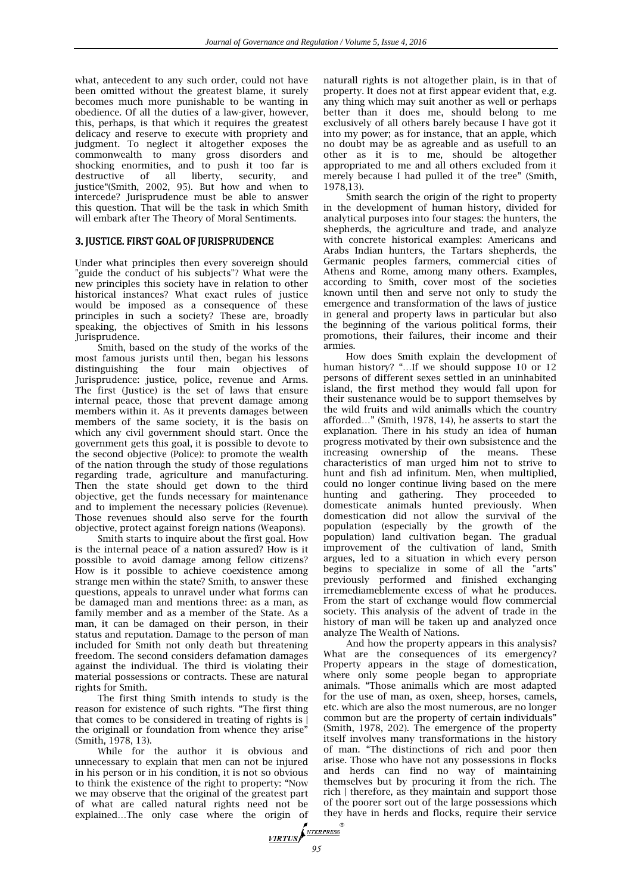what, antecedent to any such order, could not have been omitted without the greatest blame, it surely becomes much more punishable to be wanting in obedience. Of all the duties of a law-giver, however, this, perhaps, is that which it requires the greatest delicacy and reserve to execute with propriety and judgment. To neglect it altogether exposes the commonwealth to many gross disorders and shocking enormities, and to push it too far is destructive of all liberty, security, and justice"(Smith, 2002, 95). But how and when to intercede? Jurisprudence must be able to answer this question. That will be the task in which Smith will embark after The Theory of Moral Sentiments.

# 3. JUSTICE. FIRST GOAL OF JURISPRUDENCE

Under what principles then every sovereign should "guide the conduct of his subjects"? What were the new principles this society have in relation to other historical instances? What exact rules of justice would be imposed as a consequence of these principles in such a society? These are, broadly speaking, the objectives of Smith in his lessons Jurisprudence.

Smith, based on the study of the works of the most famous jurists until then, began his lessons<br>distinguishing the four main objectives of distinguishing the four main objectives Jurisprudence: justice, police, revenue and Arms. The first (Justice) is the set of laws that ensure internal peace, those that prevent damage among members within it. As it prevents damages between members of the same society, it is the basis on which any civil government should start. Once the government gets this goal, it is possible to devote to the second objective (Police): to promote the wealth of the nation through the study of those regulations regarding trade, agriculture and manufacturing. Then the state should get down to the third objective, get the funds necessary for maintenance and to implement the necessary policies (Revenue). Those revenues should also serve for the fourth objective, protect against foreign nations (Weapons).

Smith starts to inquire about the first goal. How is the internal peace of a nation assured? How is it possible to avoid damage among fellow citizens? How is it possible to achieve coexistence among strange men within the state? Smith, to answer these questions, appeals to unravel under what forms can be damaged man and mentions three: as a man, as family member and as a member of the State. As a man, it can be damaged on their person, in their status and reputation. Damage to the person of man included for Smith not only death but threatening freedom. The second considers defamation damages against the individual. The third is violating their material possessions or contracts. These are natural rights for Smith.

The first thing Smith intends to study is the reason for existence of such rights. "The first thing that comes to be considered in treating of rights is | the originall or foundation from whence they arise" (Smith, 1978, 13).

While for the author it is obvious and unnecessary to explain that men can not be injured in his person or in his condition, it is not so obvious to think the existence of the right to property: "Now we may observe that the original of the greatest part of what are called natural rights need not be explained…The only case where the origin of naturall rights is not altogether plain, is in that of property. It does not at first appear evident that, e.g. any thing which may suit another as well or perhaps better than it does me, should belong to me exclusively of all others barely because I have got it into my power; as for instance, that an apple, which no doubt may be as agreable and as usefull to an other as it is to me, should be altogether appropriated to me and all others excluded from it merely because I had pulled it of the tree" (Smith, 1978,13).

Smith search the origin of the right to property in the development of human history, divided for analytical purposes into four stages: the hunters, the shepherds, the agriculture and trade, and analyze with concrete historical examples: Americans and Arabs Indian hunters, the Tartars shepherds, the Germanic peoples farmers, commercial cities of Athens and Rome, among many others. Examples, according to Smith, cover most of the societies known until then and serve not only to study the emergence and transformation of the laws of justice in general and property laws in particular but also the beginning of the various political forms, their promotions, their failures, their income and their armies.

How does Smith explain the development of human history? "...If we should suppose 10 or 12 persons of different sexes settled in an uninhabited island, the first method they would fall upon for their sustenance would be to support themselves by the wild fruits and wild animalls which the country afforded…" (Smith, 1978, 14), he asserts to start the explanation. There in his study an idea of human progress motivated by their own subsistence and the increasing ownership of the means. These characteristics of man urged him not to strive to hunt and fish ad infinitum. Men, when multiplied, could no longer continue living based on the mere hunting and gathering. They proceeded to domesticate animals hunted previously. When domestication did not allow the survival of the population (especially by the growth of the population) land cultivation began. The gradual improvement of the cultivation of land, Smith argues, led to a situation in which every person begins to specialize in some of all the "arts" previously performed and finished exchanging irremediameblemente excess of what he produces. From the start of exchange would flow commercial society. This analysis of the advent of trade in the history of man will be taken up and analyzed once analyze The Wealth of Nations.

And how the property appears in this analysis? What are the consequences of its emergency? Property appears in the stage of domestication, where only some people began to appropriate animals. "Those animalls which are most adapted for the use of man, as oxen, sheep, horses, camels, etc. which are also the most numerous, are no longer common but are the property of certain individuals" (Smith, 1978, 202). The emergence of the property itself involves many transformations in the history of man. "The distinctions of rich and poor then arise. Those who have not any possessions in flocks and herds can find no way of maintaining themselves but by procuring it from the rich. The rich | therefore, as they maintain and support those of the poorer sort out of the large possessions which they have in herds and flocks, require their service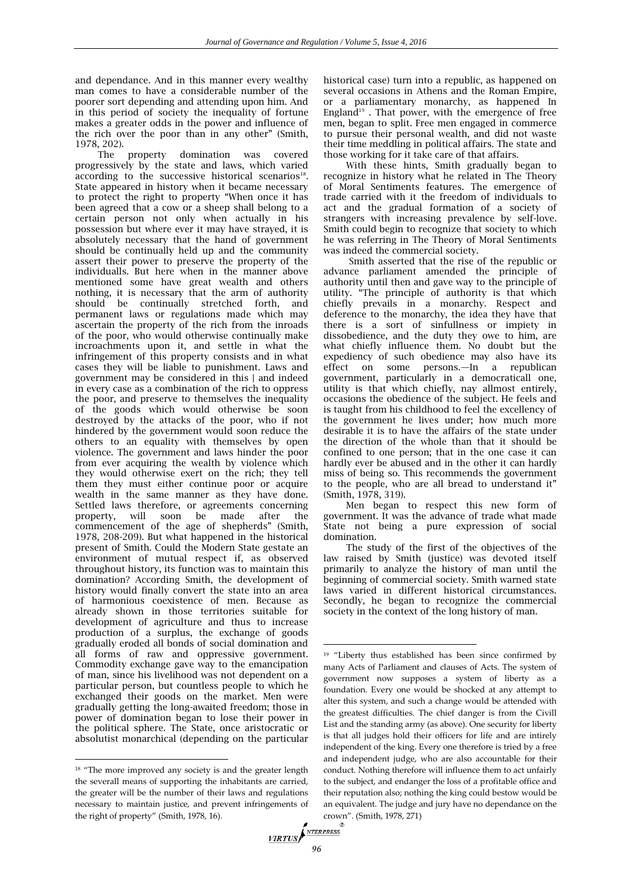and dependance. And in this manner every wealthy man comes to have a considerable number of the poorer sort depending and attending upon him. And in this period of society the inequality of fortune makes a greater odds in the power and influence of the rich over the poor than in any other" (Smith, 1978, 202).

The property domination was covered progressively by the state and laws, which varied according to the successive historical scenarios<sup>18</sup>. State appeared in history when it became necessary to protect the right to property "When once it has been agreed that a cow or a sheep shall belong to a certain person not only when actually in his possession but where ever it may have strayed, it is absolutely necessary that the hand of government should be continually held up and the community assert their power to preserve the property of the individualls. But here when in the manner above mentioned some have great wealth and others nothing, it is necessary that the arm of authority should be continually stretched forth, and permanent laws or regulations made which may ascertain the property of the rich from the inroads of the poor, who would otherwise continually make incroachments upon it, and settle in what the infringement of this property consists and in what cases they will be liable to punishment. Laws and government may be considered in this | and indeed in every case as a combination of the rich to oppress the poor, and preserve to themselves the inequality of the goods which would otherwise be soon destroyed by the attacks of the poor, who if not hindered by the government would soon reduce the others to an equality with themselves by open violence. The government and laws hinder the poor from ever acquiring the wealth by violence which they would otherwise exert on the rich; they tell them they must either continue poor or acquire wealth in the same manner as they have done. Settled laws therefore, or agreements concerning property, will soon be made after the commencement of the age of shepherds" (Smith, 1978, 208-209). But what happened in the historical present of Smith. Could the Modern State gestate an environment of mutual respect if, as observed throughout history, its function was to maintain this domination? According Smith, the development of history would finally convert the state into an area of harmonious coexistence of men. Because as already shown in those territories suitable for development of agriculture and thus to increase production of a surplus, the exchange of goods gradually eroded all bonds of social domination and all forms of raw and oppressive government. Commodity exchange gave way to the emancipation of man, since his livelihood was not dependent on a particular person, but countless people to which he exchanged their goods on the market. Men were gradually getting the long-awaited freedom; those in power of domination began to lose their power in the political sphere. The State, once aristocratic or absolutist monarchical (depending on the particular

-

historical case) turn into a republic, as happened on several occasions in Athens and the Roman Empire, or a parliamentary monarchy, as happened In England<sup>19</sup>. That power, with the emergence of free men, began to split. Free men engaged in commerce to pursue their personal wealth, and did not waste their time meddling in political affairs. The state and those working for it take care of that affairs.

With these hints, Smith gradually began to recognize in history what he related in The Theory of Moral Sentiments features. The emergence of trade carried with it the freedom of individuals to act and the gradual formation of a society of strangers with increasing prevalence by self-love. Smith could begin to recognize that society to which he was referring in The Theory of Moral Sentiments was indeed the commercial society.

Smith asserted that the rise of the republic or advance parliament amended the principle of authority until then and gave way to the principle of utility. "The principle of authority is that which chiefly prevails in a monarchy. Respect and deference to the monarchy, the idea they have that there is a sort of sinfullness or impiety in dissobedience, and the duty they owe to him, are what chiefly influence them. No doubt but the expediency of such obedience may also have its effect on some persons.—In a republican government, particularly in a democraticall one, utility is that which chiefly, nay allmost entirely, occasions the obedience of the subject. He feels and is taught from his childhood to feel the excellency of the government he lives under; how much more desirable it is to have the affairs of the state under the direction of the whole than that it should be confined to one person; that in the one case it can hardly ever be abused and in the other it can hardly miss of being so. This recommends the government to the people, who are all bread to understand it" (Smith, 1978, 319).

Men began to respect this new form of government. It was the advance of trade what made State not being a pure expression of social domination.

The study of the first of the objectives of the law raised by Smith (justice) was devoted itself primarily to analyze the history of man until the beginning of commercial society. Smith warned state laws varied in different historical circumstances. Secondly, he began to recognize the commercial society in the context of the long history of man.

<sup>1</sup> <sup>19</sup> "Liberty thus established has been since confirmed by many Acts of Parliament and clauses of Acts. The system of government now supposes a system of liberty as a foundation. Every one would be shocked at any attempt to alter this system, and such a change would be attended with the greatest difficulties. The chief danger is from the Civill List and the standing army (as above). One security for liberty is that all judges hold their officers for life and are intirely independent of the king. Every one therefore is tried by a free and independent judge, who are also accountable for their conduct. Nothing therefore will influence them to act unfairly to the subject, and endanger the loss of a profitable office and their reputation also; nothing the king could bestow would be an equivalent. The judge and jury have no dependance on the crown". (Smith, 1978, 271)



<sup>&</sup>lt;sup>18</sup> "The more improved any society is and the greater length the severall means of supporting the inhabitants are carried, the greater will be the number of their laws and regulations necessary to maintain justice, and prevent infringements of the right of property" (Smith, 1978, 16).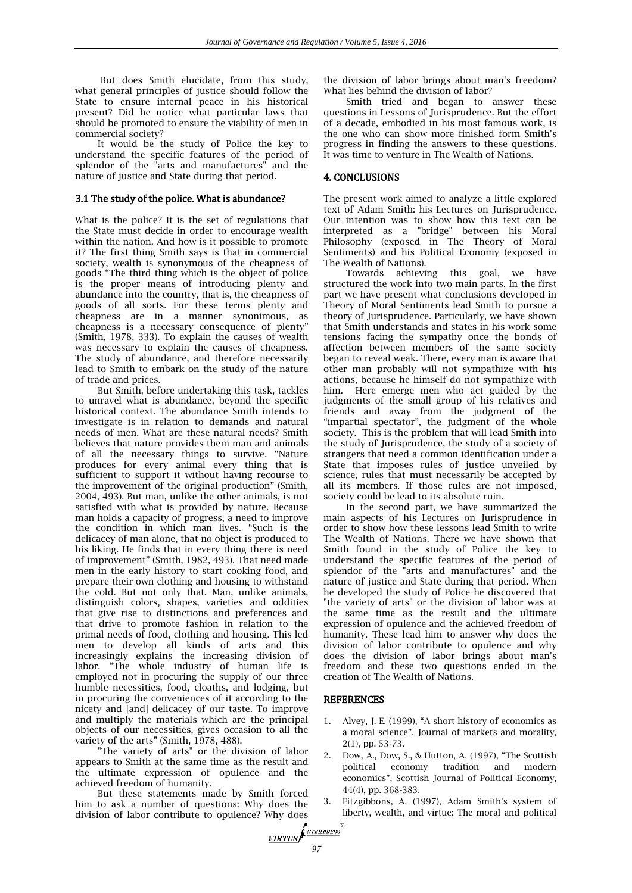But does Smith elucidate, from this study, what general principles of justice should follow the State to ensure internal peace in his historical present? Did he notice what particular laws that should be promoted to ensure the viability of men in commercial society?

It would be the study of Police the key to understand the specific features of the period of splendor of the "arts and manufactures" and the nature of justice and State during that period.

## 3.1 The study of the police. What is abundance?

What is the police? It is the set of regulations that the State must decide in order to encourage wealth within the nation. And how is it possible to promote it? The first thing Smith says is that in commercial society, wealth is synonymous of the cheapness of goods "The third thing which is the object of police is the proper means of introducing plenty and abundance into the country, that is, the cheapness of goods of all sorts. For these terms plenty and cheapness are in a manner synonimous, as cheapness is a necessary consequence of plenty" (Smith, 1978, 333). To explain the causes of wealth was necessary to explain the causes of cheapness. The study of abundance, and therefore necessarily lead to Smith to embark on the study of the nature of trade and prices.

But Smith, before undertaking this task, tackles to unravel what is abundance, beyond the specific historical context. The abundance Smith intends to investigate is in relation to demands and natural needs of men. What are these natural needs? Smith believes that nature provides them man and animals of all the necessary things to survive. "Nature produces for every animal every thing that is sufficient to support it without having recourse to the improvement of the original production" (Smith, 2004, 493). But man, unlike the other animals, is not satisfied with what is provided by nature. Because man holds a capacity of progress, a need to improve the condition in which man lives. "Such is the delicacey of man alone, that no object is produced to his liking. He finds that in every thing there is need of improvement" (Smith, 1982, 493). That need made men in the early history to start cooking food, and prepare their own clothing and housing to withstand the cold. But not only that. Man, unlike animals, distinguish colors, shapes, varieties and oddities that give rise to distinctions and preferences and that drive to promote fashion in relation to the primal needs of food, clothing and housing. This led men to develop all kinds of arts and this increasingly explains the increasing division of labor. "The whole industry of human life is employed not in procuring the supply of our three humble necessities, food, cloaths, and lodging, but in procuring the conveniences of it according to the nicety and [and] delicacey of our taste. To improve and multiply the materials which are the principal objects of our necessities, gives occasion to all the variety of the arts" (Smith, 1978, 488).

"The variety of arts" or the division of labor appears to Smith at the same time as the result and the ultimate expression of opulence and the achieved freedom of humanity.

But these statements made by Smith forced him to ask a number of questions: Why does the division of labor contribute to opulence? Why does

the division of labor brings about man's freedom? What lies behind the division of labor?

Smith tried and began to answer these questions in Lessons of Jurisprudence. But the effort of a decade, embodied in his most famous work, is the one who can show more finished form Smith's progress in finding the answers to these questions. It was time to venture in The Wealth of Nations.

# 4. CONCLUSIONS

The present work aimed to analyze a little explored text of Adam Smith: his Lectures on Jurisprudence. Our intention was to show how this text can be interpreted as a "bridge" between his Moral Philosophy (exposed in The Theory of Moral Sentiments) and his Political Economy (exposed in The Wealth of Nations).

Towards achieving this goal, we have structured the work into two main parts. In the first part we have present what conclusions developed in Theory of Moral Sentiments lead Smith to pursue a theory of Jurisprudence. Particularly, we have shown that Smith understands and states in his work some tensions facing the sympathy once the bonds of affection between members of the same society began to reveal weak. There, every man is aware that other man probably will not sympathize with his actions, because he himself do not sympathize with him. Here emerge men who act guided by the judgments of the small group of his relatives and friends and away from the judgment of the "impartial spectator", the judgment of the whole society. This is the problem that will lead Smith into the study of Jurisprudence, the study of a society of strangers that need a common identification under a State that imposes rules of justice unveiled by science, rules that must necessarily be accepted by all its members. If those rules are not imposed, society could be lead to its absolute ruin.

In the second part, we have summarized the main aspects of his Lectures on Jurisprudence in order to show how these lessons lead Smith to write The Wealth of Nations. There we have shown that Smith found in the study of Police the key to understand the specific features of the period of splendor of the "arts and manufactures" and the nature of justice and State during that period. When he developed the study of Police he discovered that "the variety of arts" or the division of labor was at the same time as the result and the ultimate expression of opulence and the achieved freedom of humanity. These lead him to answer why does the division of labor contribute to opulence and why does the division of labor brings about man's freedom and these two questions ended in the creation of The Wealth of Nations.

#### REFERENCES

- 1. Alvey, J. E. (1999), "A short history of economics as a moral science". Journal of markets and morality, 2(1), pp. 53-73.
- 2. Dow, A., Dow, S., & Hutton, A. (1997), "The Scottish political economy tradition and modern economics", Scottish Journal of Political Economy, 44(4), pp. 368-383.
- 3. Fitzgibbons, A. (1997), Adam Smith's system of liberty, wealth, and virtue: The moral and political